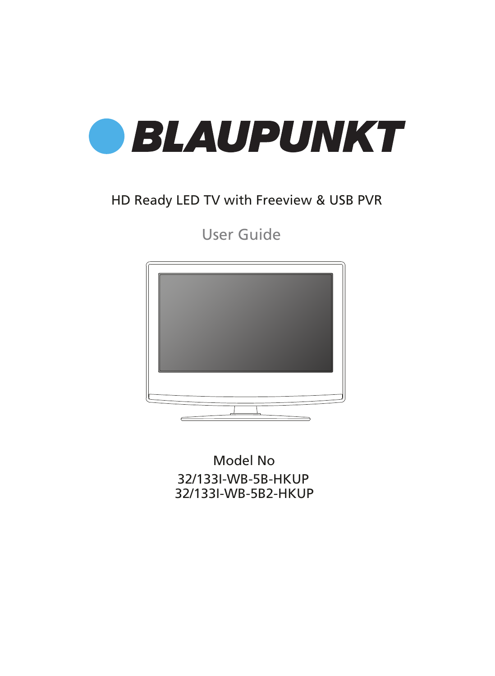

### HD Ready LED TV with Freeview & USB PVR

User Guide



32/133I-WB-5B-HKUP 32/133I-WB-5B2-HKUP Model No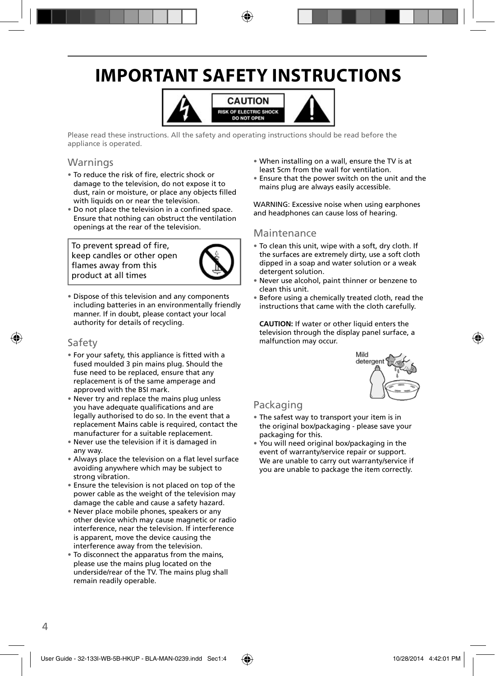## **IMPORTANT SAFETY INSTRUCTIONS**



Please read these instructions. All the safety and operating instructions should be read before the appliance is operated.

#### Warnings

- To reduce the risk of fire, electric shock or damage to the television, do not expose it to dust, rain or moisture, or place any objects filled with liquids on or near the television.
- Do not place the television in a confined space. Ensure that nothing can obstruct the ventilation openings at the rear of the television.

To prevent spread of fire, keep candles or other open flames away from this product at all times



• Dispose of this television and any components including batteries in an environmentally friendly manner. If in doubt, please contact your local authority for details of recycling.

#### Safety

- For your safety, this appliance is fitted with a fused moulded 3 pin mains plug. Should the fuse need to be replaced, ensure that any replacement is of the same amperage and approved with the BSI mark.
- Never try and replace the mains plug unless you have adequate qualifications and are legally authorised to do so. In the event that a replacement Mains cable is required, contact the manufacturer for a suitable replacement.
- Never use the television if it is damaged in any way.
- Always place the television on a flat level surface avoiding anywhere which may be subject to strong vibration.
- Ensure the television is not placed on top of the power cable as the weight of the television may damage the cable and cause a safety hazard.
- Never place mobile phones, speakers or any other device which may cause magnetic or radio interference, near the television. If interference is apparent, move the device causing the interference away from the television.
- To disconnect the apparatus from the mains, please use the mains plug located on the underside/rear of the TV. The mains plug shall remain readily operable.
- When installing on a wall, ensure the TV is at least 5cm from the wall for ventilation.
- Ensure that the power switch on the unit and the mains plug are always easily accessible.

WARNING: Excessive noise when using earphones and headphones can cause loss of hearing.

#### Maintenance

- To clean this unit, wipe with a soft, dry cloth. If the surfaces are extremely dirty, use a soft cloth dipped in a soap and water solution or a weak detergent solution.
- Never use alcohol, paint thinner or benzene to clean this unit.
- Before using a chemically treated cloth, read the instructions that came with the cloth carefully.

**CAUTION:** If water or other liquid enters the television through the display panel surface, a malfunction may occur.



### Packaging

- The safest way to transport your item is in the original box/packaging - please save your packaging for this.
- You will need original box/packaging in the event of warranty/service repair or support. We are unable to carry out warranty/service if you are unable to package the item correctly.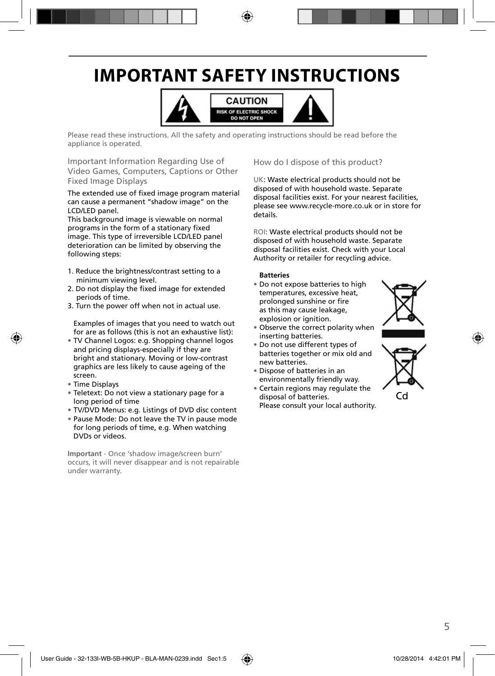## **IMPORTANT SAFETY INSTRUCTIONS**



Please read these instructions. All the safety and operating instructions should be read before the appliance is operated.

Important Information Regarding Use of Video Games, Computers, Captions or Other Fixed Image Displays

The extended use of fixed image program material can cause a permanent "shadow image" on the LCD/LED panel.

This background image is viewable on normal programs in the form of a stationary fixed image. This type of irreversible LCD/LED panel deterioration can be limited by observing the following steps:

- 1. Reduce the brightness/contrast setting to a minimum viewing level.
- 2. Do not display the fixed image for extended periods of time.
- 3. Turn the power off when not in actual use.

Examples of images that you need to watch out for are as follows (this is not an exhaustive list):

- TV Channel Logos: e.g. Shopping channel logos and pricing displays-especially if they are bright and stationary. Moving or low-contrast graphics are less likely to cause ageing of the screen.
- Time Displays
- Teletext: Do not view a stationary page for a long period of time
- TV/DVD Menus: e.g. Listings of DVD disc content
- Pause Mode: Do not leave the TV in pause mode for long periods of time, e.g. When watching DVDs or videos.

**Important** - Once 'shadow image/screen burn' occurs, it will never disappear and is not repairable under warranty.

How do I dispose of this product?

UK: Waste electrical products should not be disposed of with household waste. Separate disposal facilities exist. For your nearest facilities, please see www.recycle-more.co.uk or in store for details.

ROI: Waste electrical products should not be disposed of with household waste. Separate disposal facilities exist. Check with your Local Authority or retailer for recycling advice.

#### **Batteries**

• Do not expose batteries to high temperatures, excessive heat, prolonged sunshine or fire as this may cause leakage, explosion or ignition.



- Observe the correct polarity when inserting batteries.
- Do not use different types of batteries together or mix old and new batteries.
- Dispose of batteries in an environmentally friendly way.
- Certain regions may regulate the disposal of batteries. Please consult your local authority.



Cd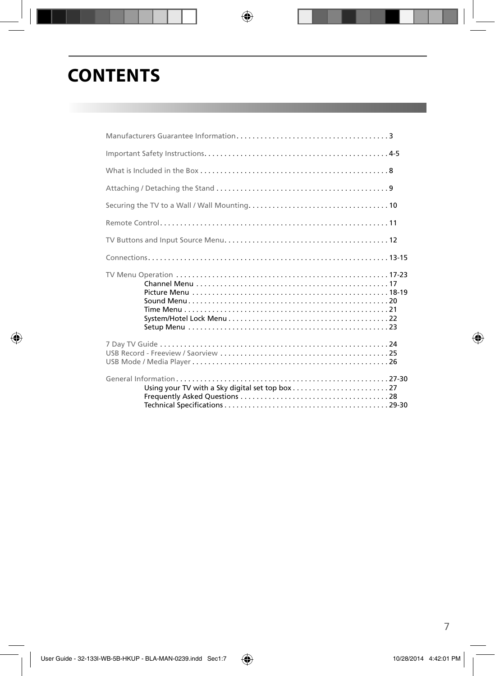## **CONTENTS**

| Using your TV with a Sky digital set top box $\ldots \ldots \ldots \ldots \ldots \ldots \ldots$ |  |
|-------------------------------------------------------------------------------------------------|--|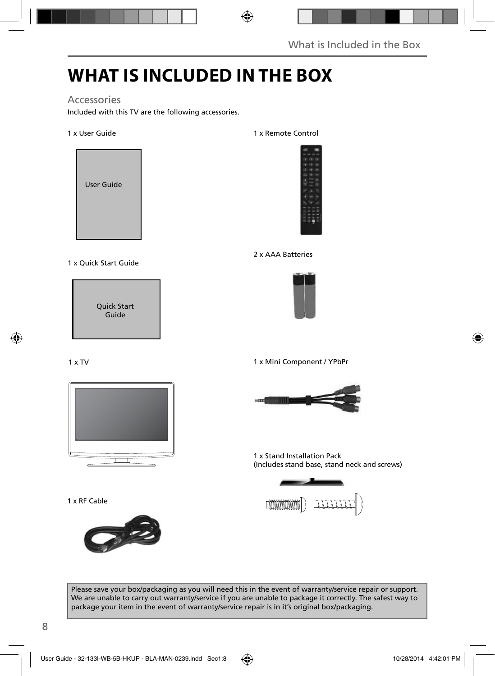## **WHAT IS INCLUDED IN THE BOX**

### Accessories

Included with this TV are the following accessories.

#### 1 x User Guide



#### 1 x Quick Start Guide



#### 1 x TV



1 x RF Cable



#### 1 x Remote Control



#### 2 x AAA Batteries



1 x Mini Component / YPbPr



1 x Stand Installation Pack (Includes stand base, stand neck and screws)



Please save your box/packaging as you will need this in the event of warranty/service repair or support. We are unable to carry out warranty/service if you are unable to package it correctly. The safest way to package your item in the event of warranty/service repair is in it's original box/packaging.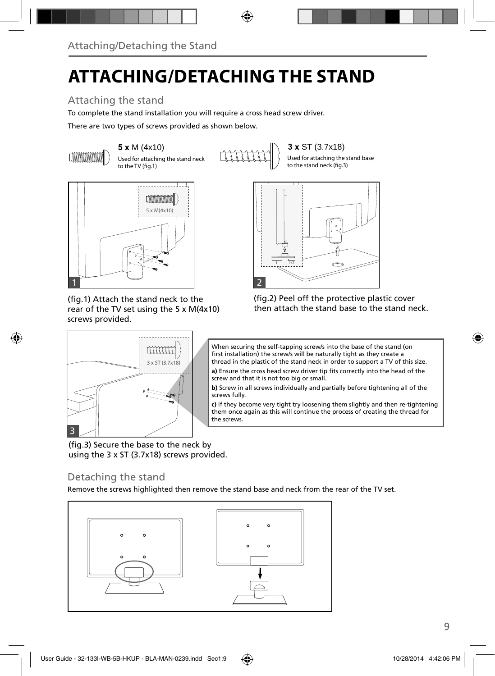## **ATTACHING/DETACHING THE STAND**

### Attaching the stand

To complete the stand installation you will require a cross head screw driver.

There are two types of screws provided as shown below.



Used for attaching the stand neck to the TV (fig.1)

**5 x** M (4x10) **3 x** ST (3.7x18)

Used for attaching the stand base to the stand neck (fig.3)



(fig.1) Attach the stand neck to the rear of the TV set using the 5 x M(4x10) screws provided.



(fig.2) Peel off the protective plastic cover then attach the stand base to the stand neck.



When securing the self-tapping screw/s into the base of the stand (on first installation) the screw/s will be naturally tight as they create a thread in the plastic of the stand neck in order to support a TV of this size.

a) Ensure the cross head screw driver tip fits correctly into the head of the screw and that it is not too big or small.

**b)** Screw in all screws individually and partially before tightening all of the screws fully.

**c)** If they become very tight try loosening them slightly and then re-tightening them once again as this will continue the process of creating the thread for the screws.

(fig.3) Secure the base to the neck by using the 3 x ST (3.7x18) screws provided.

### Detaching the stand

Remove the screws highlighted then remove the stand base and neck from the rear of the TV set.

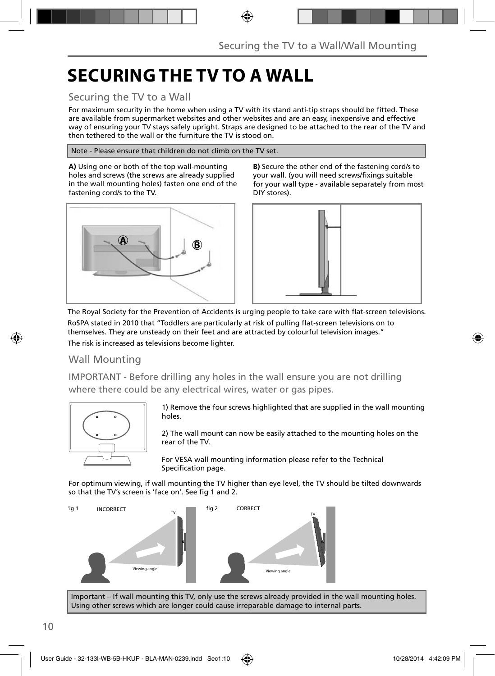## **SECURING THE TV TO A WALL**

### Securing the TV to a Wall

For maximum security in the home when using a TV with its stand anti-tip straps should be fitted. These are available from supermarket websites and other websites and are an easy, inexpensive and effective way of ensuring your TV stays safely upright. Straps are designed to be attached to the rear of the TV and then tethered to the wall or the furniture the TV is stood on.

Note - Please ensure that children do not climb on the TV set.

**A)** Using one or both of the top wall-mounting holes and screws (the screws are already supplied in the wall mounting holes) fasten one end of the fastening cord/s to the TV.



**B)** Secure the other end of the fastening cord/s to your wall. (you will need screws/fixings suitable for your wall type - available separately from most DIY stores).



The Royal Society for the Prevention of Accidents is urging people to take care with flat-screen televisions. RoSPA stated in 2010 that "Toddlers are particularly at risk of pulling flat-screen televisions on to themselves. They are unsteady on their feet and are attracted by colourful television images." The risk is increased as televisions become lighter.

### Wall Mounting

IMPORTANT - Before drilling any holes in the wall ensure you are not drilling where there could be any electrical wires, water or gas pipes.



1) Remove the four screws highlighted that are supplied in the wall mounting holes.

2) The wall mount can now be easily attached to the mounting holes on the rear of the TV.

For VESA wall mounting information please refer to the Technical Specification page.

For optimum viewing, if wall mounting the TV higher than eye level, the TV should be tilted downwards so that the TV's screen is 'face on'. See fig 1 and 2.



Important – If wall mounting this TV, only use the screws already provided in the wall mounting holes. Using other screws which are longer could cause irreparable damage to internal parts.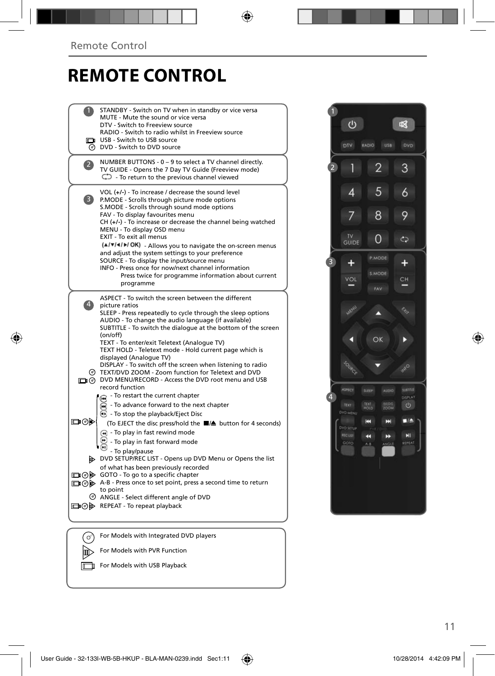## **REMOTE CONTROL**

|                   | STANDBY - Switch on TV when in standby or vice versa<br>MUTE - Mute the sound or vice versa<br>DTV - Switch to Freeview source<br>RADIO - Switch to radio whilst in Freeview source<br>USB - Switch to USB source<br>O DVD - Switch to DVD source                                                                                                                                                                                                                                                                                                                                                                       |  |
|-------------------|-------------------------------------------------------------------------------------------------------------------------------------------------------------------------------------------------------------------------------------------------------------------------------------------------------------------------------------------------------------------------------------------------------------------------------------------------------------------------------------------------------------------------------------------------------------------------------------------------------------------------|--|
| $\mathbf{Z}$      | NUMBER BUTTONS - 0 - 9 to select a TV channel directly.<br>TV GUIDE - Opens the 7 Day TV Guide (Freeview mode)<br>$\mathbb{C}$ - To return to the previous channel viewed                                                                                                                                                                                                                                                                                                                                                                                                                                               |  |
| 3)                | VOL $(+/-)$ - To increase / decrease the sound level<br>P.MODE - Scrolls through picture mode options<br>S.MODE - Scrolls through sound mode options<br>FAV - To display favourites menu<br>$CH (+/-)$ - To increase or decrease the channel being watched<br>MENU - To display OSD menu<br><b>EXIT - To exit all menus</b><br>(A/V/4/M/OK) - Allows you to navigate the on-screen menus<br>and adjust the system settings to your preference<br>SOURCE - To display the input/source menu<br>INFO - Press once for now/next channel information<br>Press twice for programme information about current<br>programme    |  |
| $\vert 4 \rangle$ | ASPECT - To switch the screen between the different<br>picture ratios<br>SLEEP - Press repeatedly to cycle through the sleep options<br>AUDIO - To change the audio language (if available)<br>SUBTITLE - To switch the dialogue at the bottom of the screen<br>(on/off)<br>TEXT - To enter/exit Teletext (Analogue TV)<br>TEXT HOLD - Teletext mode - Hold current page which is<br>displayed (Analogue TV)<br>DISPLAY - To switch off the screen when listening to radio<br>⊙ TEXT/DVD ZOOM - Zoom function for Teletext and DVD<br>O DVD MENU/RECORD - Access the DVD root menu and USB                              |  |
| య⊚⊡               | record function<br>- To restart the current chapter<br>⋒<br>- To advance forward to the next chapter<br><b>B</b> - To stop the playback/Eject Disc<br>(To EJECT the disc press/hold the ■▲ button for 4 seconds)<br>(4) - To play in fast rewind mode<br>- To play in fast forward mode<br>- To play/pause<br>DVD SETUP/REC LIST - Opens up DVD Menu or Opens the list<br>of what has been previously recorded<br>□ ⊙ iD GOTO - To go to a specific chapter<br>A-B - Press once to set point, press a second time to return<br>to point<br>C ANGLE - Select different angle of DVD<br>□ ⑦ A REPEAT - To repeat playback |  |
|                   |                                                                                                                                                                                                                                                                                                                                                                                                                                                                                                                                                                                                                         |  |
|                   | For Models with Integrated DVD players                                                                                                                                                                                                                                                                                                                                                                                                                                                                                                                                                                                  |  |
|                   | For Models with PVR Function                                                                                                                                                                                                                                                                                                                                                                                                                                                                                                                                                                                            |  |

For Models with USB Playback



11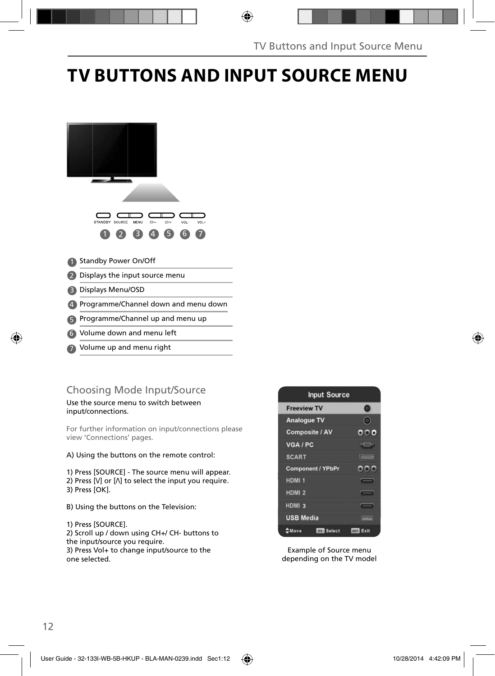## **TV BUTTONS AND INPUT SOURCE MENU**



Volume up and menu right 7

### Choosing Mode Input/Source

#### Use the source menu to switch between input/connections.

For further information on input/connections please view 'Connections' pages.

#### A) Using the buttons on the remote control:

1) Press [SOURCE] - The source menu will appear. 2) Press  $[V]$  or  $[\Lambda]$  to select the input you require. 3) Press [OK].

B) Using the buttons on the Television:

1) Press [SOURCE]. 2) Scroll up / down using CH+/ CH- buttons to the input/source you require. 3) Press Vol+ to change input/source to the

one selected.



Example of Source menu depending on the TV model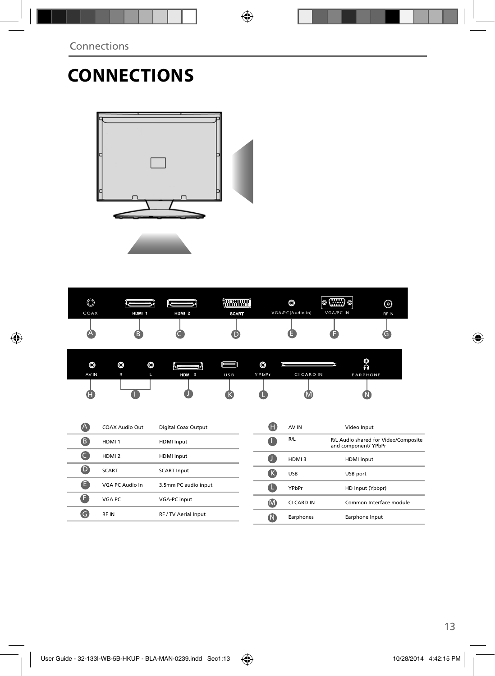# **CONNECTIONS**



| @<br>رب |       |       | KG.          | O                | <b>COLORADO</b><br> ⊙ (∷∷:) ⊙ | ଚ)    |
|---------|-------|-------|--------------|------------------|-------------------------------|-------|
| COAX    | HDM 1 | HDM 2 | <b>SCART</b> | VGA/PC(Audio in) | VGA/PC IN                     | RF IN |
|         |       |       |              |                  |                               |       |

| O     | O | O |                   | IE  | $\circledcirc$ | p.                | O<br>$\Omega$   |  |
|-------|---|---|-------------------|-----|----------------|-------------------|-----------------|--|
| AV IN | R | т | HDMI <sub>3</sub> | USB | YPbPr          | <b>CI CARD IN</b> | <b>EARPHONE</b> |  |
| H     |   |   |                   |     |                | IV.               |                 |  |

|   | COAX Audio Out    | Digital Coax Output  |
|---|-------------------|----------------------|
| B | HDMI <sub>1</sub> | <b>HDMI</b> Input    |
|   | HDMI <sub>2</sub> | <b>HDMI</b> Input    |
| D | <b>SCART</b>      | <b>SCART Input</b>   |
| н | VGA PC Audio In   | 3.5mm PC audio input |
|   | VGA PC            | <b>VGA-PC</b> input  |
|   | <b>RFIN</b>       | RF / TV Aerial Input |
|   |                   |                      |

| H | AV IN      | Video Input                                                  |
|---|------------|--------------------------------------------------------------|
|   | R/L        | R/L Audio shared for Video/Composite<br>and component/ YPbPr |
|   | HDMI3      | <b>HDMI</b> input                                            |
| ĸ | <b>USB</b> | USB port                                                     |
|   | YPbPr      | HD input (Ypbpr)                                             |
|   | CI CARD IN | Common Interface module                                      |
|   | Earphones  | Earphone Input                                               |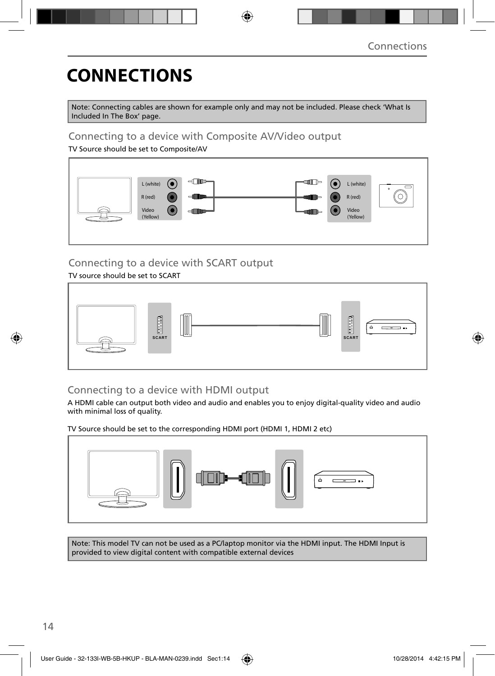## **CONNECTIONS**

Note: Connecting cables are shown for example only and may not be included. Please check 'What Is Included In The Box' page.

### Connecting to a device with Composite AV/Video output

TV Source should be set to Composite/AV



### Connecting to a device with SCART output

#### TV source should be set to SCART



### Connecting to a device with HDMI output

A HDMI cable can output both video and audio and enables you to enjoy digital-quality video and audio with minimal loss of quality.

TV Source should be set to the corresponding HDMI port (HDMI 1, HDMI 2 etc)



Note: This model TV can not be used as a PC/laptop monitor via the HDMI input. The HDMI Input is provided to view digital content with compatible external devices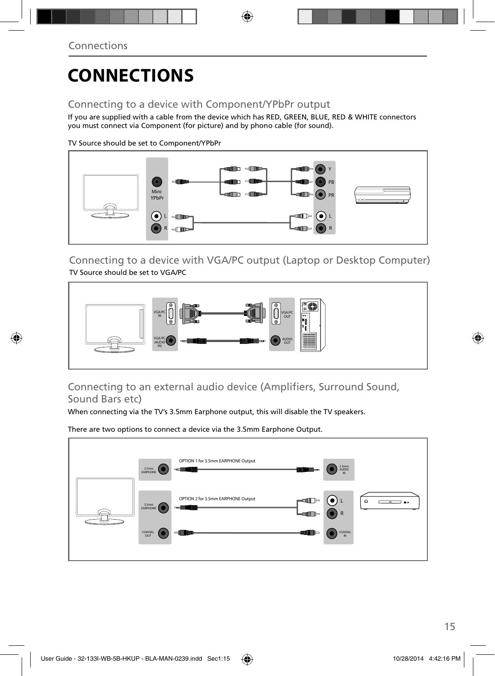## **CONNECTIONS**

### Connecting to a device with Component/YPbPr output

If you are supplied with a cable from the device which has RED, GREEN, BLUE, RED & WHITE connectors you must connect via Component (for picture) and by phono cable (for sound).

TV Source should be set to Component/YPbPr



Connecting to a device with VGA/PC output (Laptop or Desktop Computer) TV Source should be set to VGA/PC



Connecting to an external audio device (Amplifiers, Surround Sound, Sound Bars etc)

When connecting via the TV's 3.5mm Earphone output, this will disable the TV speakers.

There are two options to connect a device via the 3.5mm Earphone Output.

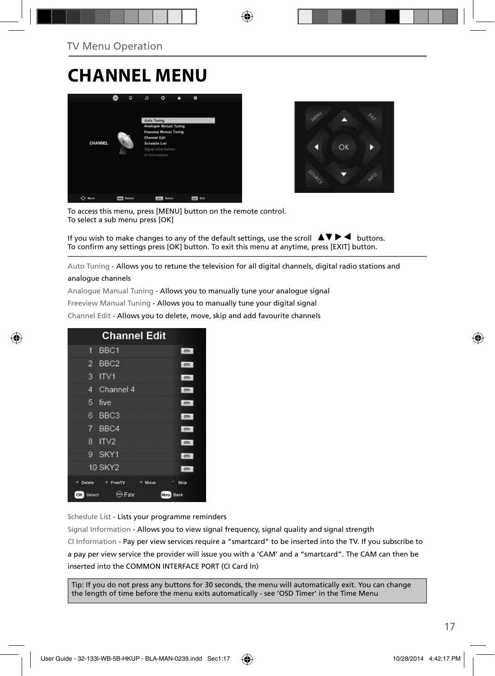### **CHANNEL MENU**





To access this menu, press [MENU] button on the remote control. To select a sub menu press [OK]

If you wish to make changes to any of the default settings, use the scroll  $\Box \Box \blacktriangleright \blacktriangleleft$  buttons. To confirm any settings press [OK] button. To exit this menu at anytime, press [EXIT] button.

Auto Tuning - Allows you to retune the television for all digital channels, digital radio stations and

#### analogue channels

Analogue Manual Tuning - Allows you to manually tune your analogue signal

Freeview Manual Tuning - Allows you to manually tune your digital signal

Channel Edit - Allows you to delete, move, skip and add favourite channels

| <b>Channel Edit</b>                     |              |
|-----------------------------------------|--------------|
| BBC <sub>1</sub><br>1                   | ony          |
| BBC <sub>2</sub><br>2                   | ony          |
| ITV1<br>3                               | orv          |
| Channel 4<br>4                          | otv          |
| 5<br>five                               | otv          |
| BBC <sub>3</sub><br>6                   | ony          |
| 7<br>BBC4                               | otv          |
| ITV2<br>8                               | orv          |
| SKY1<br>9                               | onv          |
| <b>10 SKY2</b>                          | orv          |
| Delete<br>FreeTV<br>$\sim$<br>Move<br>۰ | Skip<br>٠.   |
| $\leftrightarrow$ Fav<br>OK  <br>Select | Back<br>Menu |

Schedule List - Lists your programme reminders

Signal Information - Allows you to view signal frequency, signal quality and signal strength CI Information - Pay per view services require a "smartcard" to be inserted into the TV. If you subscribe to a pay per view service the provider will issue you with a 'CAM' and a "smartcard". The CAM can then be inserted into the COMMON INTERFACE PORT (CI Card In)

Tip: If you do not press any buttons for 30 seconds, the menu will automatically exit. You can change the length of time before the menu exits automatically - see 'OSD Timer' in the Time Menu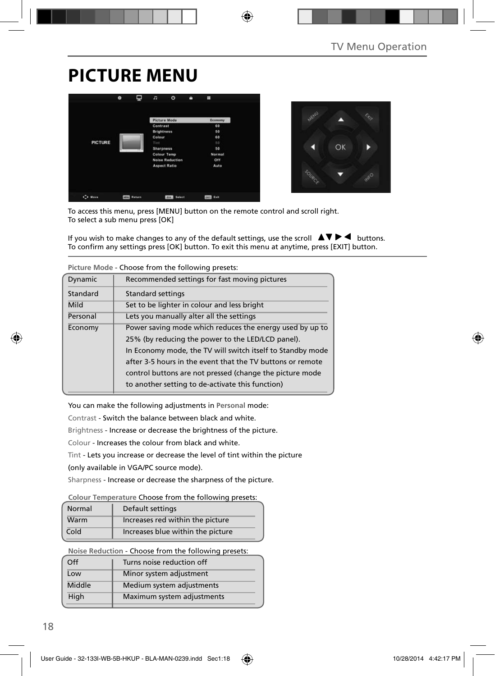## **PICTURE MENU**





To access this menu, press [MENU] button on the remote control and scroll right. To select a sub menu press [OK]

If you wish to make changes to any of the default settings, use the scroll  $\blacktriangle \blacktriangledown \blacktriangleright \blacktriangleleft$  buttons. To confirm any settings press [OK] button. To exit this menu at anytime, press [EXIT] button.

|          | Picture mode - Choose from the following presets:          |  |  |  |  |
|----------|------------------------------------------------------------|--|--|--|--|
| Dynamic  | Recommended settings for fast moving pictures              |  |  |  |  |
| Standard | <b>Standard settings</b>                                   |  |  |  |  |
| Mild     | Set to be lighter in colour and less bright                |  |  |  |  |
| Personal | Lets you manually alter all the settings                   |  |  |  |  |
| Economy  | Power saving mode which reduces the energy used by up to   |  |  |  |  |
|          | 25% (by reducing the power to the LED/LCD panel).          |  |  |  |  |
|          | In Economy mode, the TV will switch itself to Standby mode |  |  |  |  |
|          | after 3-5 hours in the event that the TV buttons or remote |  |  |  |  |
|          | control buttons are not pressed (change the picture mode   |  |  |  |  |
|          | to another setting to de-activate this function)           |  |  |  |  |
|          |                                                            |  |  |  |  |

**Picture Mode** - Choose from the following presets:

You can make the following adjustments in **Personal** mode:

Contrast - Switch the balance between black and white.

Brightness - Increase or decrease the brightness of the picture.

Colour - Increases the colour from black and white.

Tint - Lets you increase or decrease the level of tint within the picture

(only available in VGA/PC source mode).

Sharpness - Increase or decrease the sharpness of the picture.

#### **Colour Temperature** Choose from the following presets:

| Normal | Default settings                  |
|--------|-----------------------------------|
| Warm   | Increases red within the picture  |
| Cold   | Increases blue within the picture |

**Noise Reduction** - Choose from the following presets:

| Off    | Turns noise reduction off  |
|--------|----------------------------|
| Low    | Minor system adjustment    |
| Middle | Medium system adjustments  |
| High   | Maximum system adjustments |
|        |                            |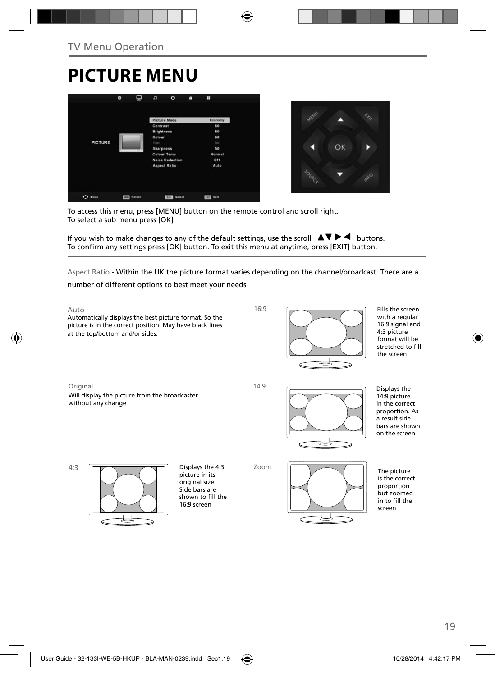## **PICTURE MENU**





To access this menu, press [MENU] button on the remote control and scroll right. To select a sub menu press [OK]

If you wish to make changes to any of the default settings, use the scroll  $\Box \blacktriangledown \blacktriangleright \blacktriangleleft$  buttons. To confirm any settings press [OK] button. To exit this menu at anytime, press [EXIT] button.

Aspect Ratio - Within the UK the picture format varies depending on the channel/broadcast. There are a

number of different options to best meet your needs

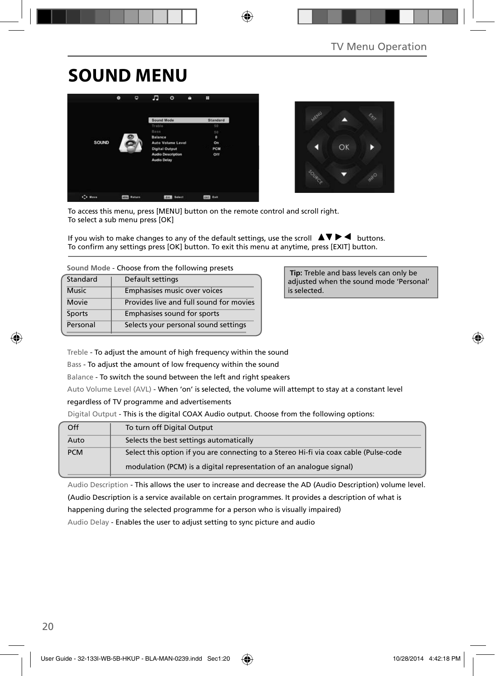## **SOUND MENU**





To access this menu, press [MENU] button on the remote control and scroll right. To select a sub menu press [OK]

If you wish to make changes to any of the default settings, use the scroll  $\Box \blacktriangledown \blacktriangleright \blacktriangleleft$  buttons. To confirm any settings press [OK] button. To exit this menu at anytime, press [EXIT] button.

**Sound Mode** - Choose from the following presets

| Standard     | Default settings                        |
|--------------|-----------------------------------------|
| <b>Music</b> | Emphasises music over voices            |
| <b>Movie</b> | Provides live and full sound for movies |
| Sports       | Emphasises sound for sports             |
| Personal     | Selects your personal sound settings    |

 **Tip:** Treble and bass levels can only be adjusted when the sound mode 'Personal' is selected.

Treble - To adjust the amount of high frequency within the sound

Bass - To adjust the amount of low frequency within the sound

Balance - To switch the sound between the left and right speakers

Auto Volume Level (AVL) - When 'on' is selected, the volume will attempt to stay at a constant level

regardless of TV programme and advertisements

Digital Output - This is the digital COAX Audio output. Choose from the following options:

| Off        | To turn off Digital Output                                                            |
|------------|---------------------------------------------------------------------------------------|
| Auto       | Selects the best settings automatically                                               |
| <b>PCM</b> | Select this option if you are connecting to a Stereo Hi-fi via coax cable (Pulse-code |
|            | modulation (PCM) is a digital representation of an analogue signal)                   |

Audio Description - This allows the user to increase and decrease the AD (Audio Description) volume level.

(Audio Description is a service available on certain programmes. It provides a description of what is

happening during the selected programme for a person who is visually impaired)

Audio Delay - Enables the user to adjust setting to sync picture and audio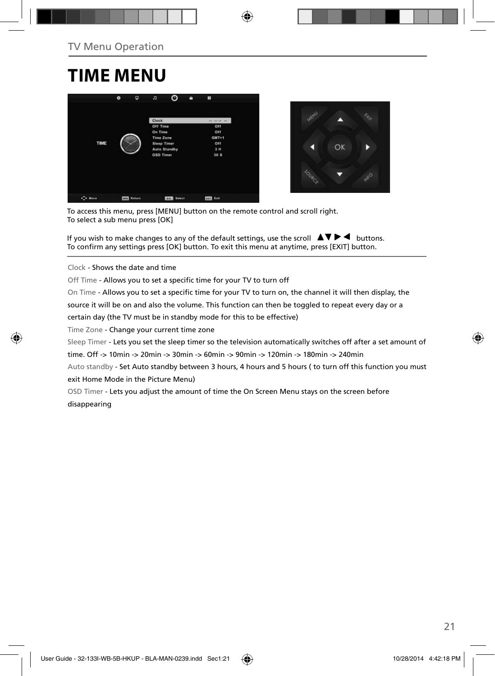### **TIME MENU**





To access this menu, press [MENU] button on the remote control and scroll right. To select a sub menu press [OK]

If you wish to make changes to any of the default settings, use the scroll  $\Box \blacktriangledown \blacktriangleright \blacktriangleleft$  buttons. To confirm any settings press [OK] button. To exit this menu at anytime, press [EXIT] button.

Clock - Shows the date and time

Off Time - Allows you to set a specific time for your TV to turn off

On Time - Allows you to set a specific time for your TV to turn on, the channel it will then display, the

source it will be on and also the volume. This function can then be toggled to repeat every day or a

certain day (the TV must be in standby mode for this to be effective)

Time Zone - Change your current time zone

Sleep Timer - Lets you set the sleep timer so the television automatically switches off after a set amount of

time. Off -> 10min -> 20min -> 30min -> 60min -> 90min -> 120min -> 180min -> 240min

Auto standby - Set Auto standby between 3 hours, 4 hours and 5 hours ( to turn off this function you must exit Home Mode in the Picture Menu)

OSD Timer - Lets you adjust the amount of time the On Screen Menu stays on the screen before disappearing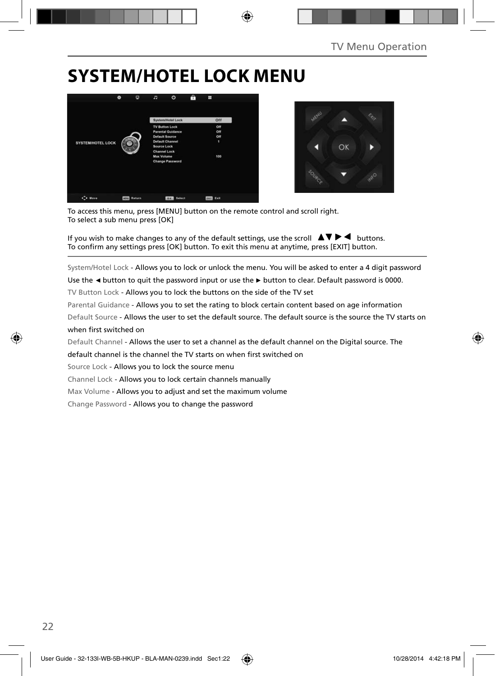## **SYSTEM/HOTEL LOCK MENU**





To access this menu, press [MENU] button on the remote control and scroll right. To select a sub menu press [OK]

If you wish to make changes to any of the default settings, use the scroll  $\blacktriangle \blacktriangledown \blacktriangleright \blacktriangleleft$  buttons. To confirm any settings press [OK] button. To exit this menu at anytime, press [EXIT] button.

System/Hotel Lock - Allows you to lock or unlock the menu. You will be asked to enter a 4 digit password

Use the **◄** button to quit the password input or use the **►** button to clear. Default password is 0000.

TV Button Lock - Allows you to lock the buttons on the side of the TV set

Parental Guidance - Allows you to set the rating to block certain content based on age information

Default Source - Allows the user to set the default source. The default source is the source the TV starts on when first switched on

Default Channel - Allows the user to set a channel as the default channel on the Digital source. The

default channel is the channel the TV starts on when first switched on

Source Lock - Allows you to lock the source menu

Channel Lock - Allows you to lock certain channels manually

Max Volume - Allows you to adjust and set the maximum volume

Change Password - Allows you to change the password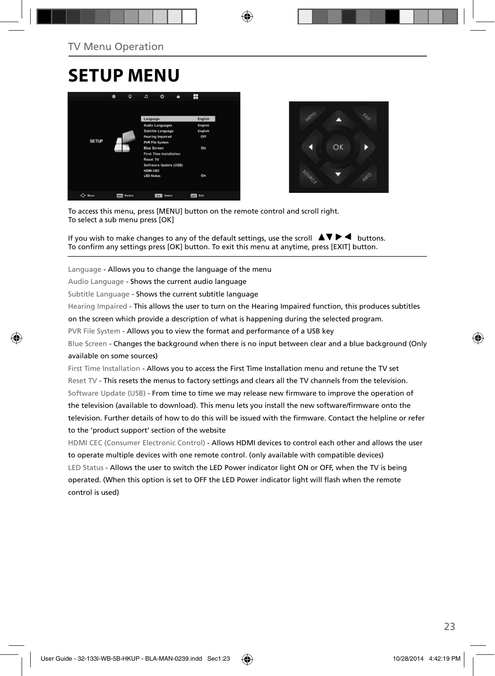### **SETUP MENU**





To access this menu, press [MENU] button on the remote control and scroll right. To select a sub menu press [OK]

If you wish to make changes to any of the default settings, use the scroll  $\blacktriangle \blacktriangledown \blacktriangleright \blacktriangleleft$  buttons. To confirm any settings press [OK] button. To exit this menu at anytime, press [EXIT] button.

Language - Allows you to change the language of the menu

Audio Language - Shows the current audio language

Subtitle Language - Shows the current subtitle language

Hearing Impaired - This allows the user to turn on the Hearing Impaired function, this produces subtitles

on the screen which provide a description of what is happening during the selected program.

PVR File System - Allows you to view the format and performance of a USB key

Blue Screen - Changes the background when there is no input between clear and a blue background (Only available on some sources)

First Time Installation - Allows you to access the First Time Installation menu and retune the TV set Reset TV - This resets the menus to factory settings and clears all the TV channels from the television. Software Update (USB) - From time to time we may release new firmware to improve the operation of the television (available to download). This menu lets you install the new software/firmware onto the television. Further details of how to do this will be issued with the firmware. Contact the helpline or refer to the 'product support' section of the website

HDMI CEC (Consumer Electronic Control) - Allows HDMI devices to control each other and allows the user to operate multiple devices with one remote control. (only available with compatible devices) LED Status - Allows the user to switch the LED Power indicator light ON or OFF, when the TV is being operated. (When this option is set to OFF the LED Power indicator light will flash when the remote control is used)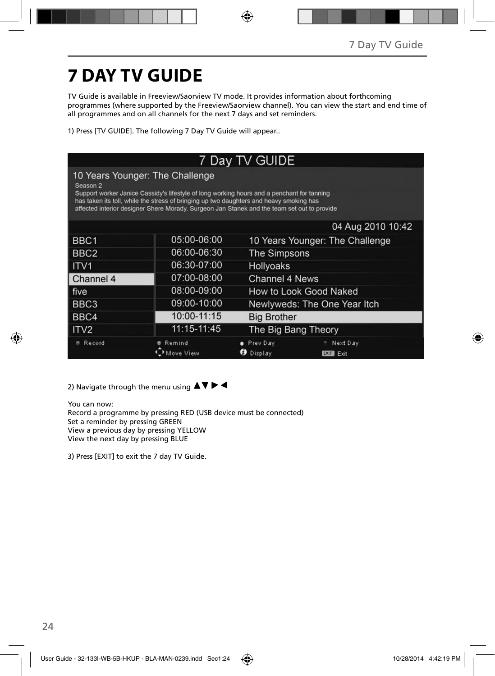# **7 DAY TV GUIDE**

TV Guide is available in Freeview/Saorview TV mode. It provides information about forthcoming programmes (where supported by the Freeview/Saorview channel). You can view the start and end time of all programmes and on all channels for the next 7 days and set reminders.

1) Press [TV GUIDE]. The following 7 Day TV Guide will appear..

| 7 Day TV GUIDE                                                                                                                                                                                                                                                                                                                                 |                     |                                 |                                 |  |
|------------------------------------------------------------------------------------------------------------------------------------------------------------------------------------------------------------------------------------------------------------------------------------------------------------------------------------------------|---------------------|---------------------------------|---------------------------------|--|
| 10 Years Younger: The Challenge<br>Season <sub>2</sub><br>Support worker Janice Cassidy's lifestyle of long working hours and a penchant for tanning<br>has taken its toll, while the stress of bringing up two daughters and heavy smoking has<br>affected interior designer Shere Morady. Surgeon Jan Stanek and the team set out to provide |                     |                                 |                                 |  |
|                                                                                                                                                                                                                                                                                                                                                |                     |                                 | 04 Aug 2010 10:42               |  |
| BBC <sub>1</sub>                                                                                                                                                                                                                                                                                                                               | 05:00-06:00         | 10 Years Younger: The Challenge |                                 |  |
| BBC <sub>2</sub>                                                                                                                                                                                                                                                                                                                               | 06:00-06:30         | <b>The Simpsons</b>             |                                 |  |
| ITV <sub>1</sub>                                                                                                                                                                                                                                                                                                                               | 06:30-07:00         | Hollyoaks                       |                                 |  |
| Channel 4                                                                                                                                                                                                                                                                                                                                      | 07:00-08:00         | <b>Channel 4 News</b>           |                                 |  |
| five                                                                                                                                                                                                                                                                                                                                           | 08:00-09:00         | How to Look Good Naked          |                                 |  |
| BBC <sub>3</sub>                                                                                                                                                                                                                                                                                                                               | 09:00-10:00         | Newlyweds: The One Year Itch    |                                 |  |
| BBC4                                                                                                                                                                                                                                                                                                                                           | 10:00-11:15         | <b>Big Brother</b>              |                                 |  |
| ITV <sub>2</sub>                                                                                                                                                                                                                                                                                                                               | 11:15-11:45         | The Big Bang Theory             |                                 |  |
| <b>Record</b>                                                                                                                                                                                                                                                                                                                                  | Remind<br>dove View | Prev Day<br>Display             | Next Day<br><b>EXIT</b><br>Exit |  |

2) Navigate through the menu using  $\blacktriangle \blacktriangledown \blacktriangleright \blacktriangleleft$ 

You can now: Record a programme by pressing RED (USB device must be connected) Set a reminder by pressing GREEN View a previous day by pressing YELLOW View the next day by pressing BLUE

3) Press [EXIT] to exit the 7 day TV Guide.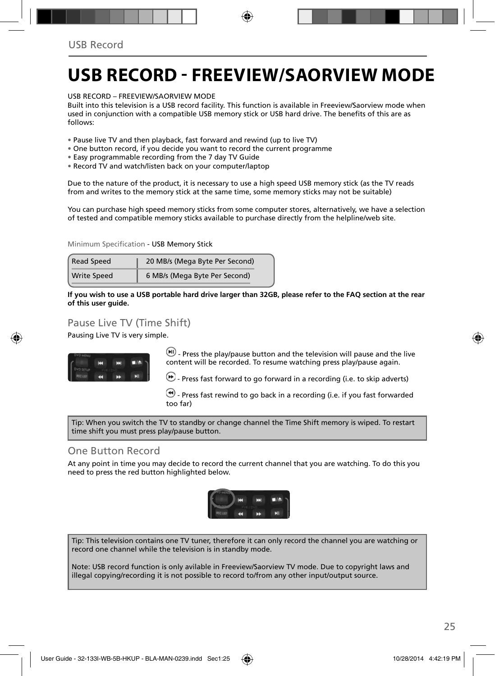### **USB RECORD - FREEVIEW/SAORVIEW MODE**

USB RECORD – FREEVIEW/SAORVIEW MODE

Built into this television is a USB record facility. This function is available in Freeview/Saorview mode when used in conjunction with a compatible USB memory stick or USB hard drive. The benefits of this are as follows:

• Pause live TV and then playback, fast forward and rewind (up to live TV)

- One button record, if you decide you want to record the current programme
- Easy programmable recording from the 7 day TV Guide
- Record TV and watch/listen back on your computer/laptop

Due to the nature of the product, it is necessary to use a high speed USB memory stick (as the TV reads from and writes to the memory stick at the same time, some memory sticks may not be suitable)

You can purchase high speed memory sticks from some computer stores, alternatively, we have a selection of tested and compatible memory sticks available to purchase directly from the helpline/web site.

Minimum Specification - USB Memory Stick

| <b>Read Speed</b>  | 20 MB/s (Mega Byte Per Second) |
|--------------------|--------------------------------|
| <b>Write Speed</b> | 6 MB/s (Mega Byte Per Second)  |

**If you wish to use a USB portable hard drive larger than 32GB, please refer to the FAQ section at the rear of this user guide.**

### Pause Live TV (Time Shift)

Pausing Live TV is very simple.



 $\left(\mathbf{H}\right)$  - Press the play/pause button and the television will pause and the live content will be recorded. To resume watching press play/pause again.

**D** - Press fast forward to go forward in a recording (i.e. to skip adverts)

 $\bigcirc$  - Press fast rewind to go back in a recording (i.e. if you fast forwarded too far)

Tip: When you switch the TV to standby or change channel the Time Shift memory is wiped. To restart time shift you must press play/pause button.

#### One Button Record

At any point in time you may decide to record the current channel that you are watching. To do this you need to press the red button highlighted below.



Tip: This television contains one TV tuner, therefore it can only record the channel you are watching or record one channel while the television is in standby mode.

Note: USB record function is only avilable in Freeview/Saorview TV mode. Due to copyright laws and illegal copying/recording it is not possible to record to/from any other input/output source.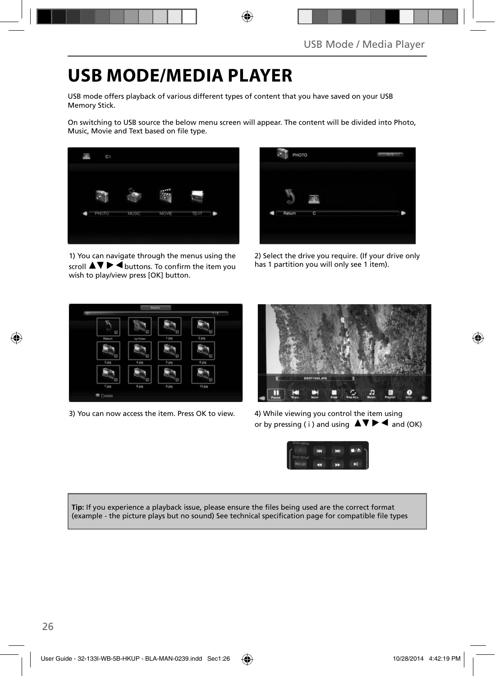## **USB MODE/MEDIA PLAYER**

USB mode offers playback of various different types of content that you have saved on your USB Memory Stick.

On switching to USB source the below menu screen will appear. The content will be divided into Photo, Music, Movie and Text based on file type.



1) You can navigate through the menus using the scroll  $\triangle \triangledown \triangleright \blacktriangleleft$  buttons. To confirm the item you wish to play/view press [OK] button.

| PHOTO                    | w |
|--------------------------|---|
| Return<br>$\overline{c}$ |   |

2) Select the drive you require. (If your drive only has 1 partition you will only see 1 item).



3) You can now access the item. Press OK to view. 4) While viewing you control the item using



or by pressing ( i ) and using  $\Delta \nabla \blacktriangleright$   $\blacktriangle$  and (OK)



Tip: If you experience a playback issue, please ensure the files being used are the correct format (example - the picture plays but no sound) See technical specification page for compatible file types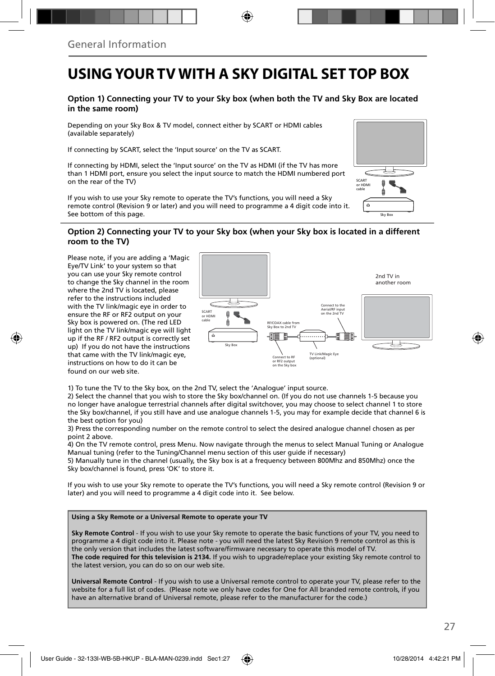### **USING YOUR TV WITH A SKY DIGITAL SET TOP BOX**

#### **Option 1) Connecting your TV to your Sky box (when both the TV and Sky Box are located in the same room)**

Depending on your Sky Box & TV model, connect either by SCART or HDMI cables (available separately)

If connecting by SCART, select the 'Input source' on the TV as SCART.

If connecting by HDMI, select the 'Input source' on the TV as HDMI (if the TV has more than 1 HDMI port, ensure you select the input source to match the HDMI numbered port on the rear of the TV)

If you wish to use your Sky remote to operate the TV's functions, you will need a Sky remote control (Revision 9 or later) and you will need to programme a 4 digit code into it. See bottom of this page.

### SCART or HDMI cable ó Sky Box

#### **Option 2) Connecting your TV to your Sky box (when your Sky box is located in a different room to the TV)**

Please note, if you are adding a 'Magic Eye/TV Link' to your system so that you can use your Sky remote control to change the Sky channel in the room where the 2nd TV is located, please refer to the instructions included with the TV link/magic eye in order to ensure the RF or RF2 output on your Sky box is powered on. (The red LED light on the TV link/magic eye will light up if the RF / RF2 output is correctly set up) If you do not have the instructions that came with the TV link/magic eye, instructions on how to do it can be found on our web site.



1) To tune the TV to the Sky box, on the 2nd TV, select the 'Analogue' input source.

2) Select the channel that you wish to store the Sky box/channel on. (If you do not use channels 1-5 because you no longer have analogue terrestrial channels after digital switchover, you may choose to select channel 1 to store the Sky box/channel, if you still have and use analogue channels 1-5, you may for example decide that channel 6 is the best option for you)

3) Press the corresponding number on the remote control to select the desired analogue channel chosen as per point 2 above.

4) On the TV remote control, press Menu. Now navigate through the menus to select Manual Tuning or Analogue Manual tuning (refer to the Tuning/Channel menu section of this user guide if necessary)

5) Manually tune in the channel (usually, the Sky box is at a frequency between 800Mhz and 850Mhz) once the Sky box/channel is found, press 'OK' to store it.

If you wish to use your Sky remote to operate the TV's functions, you will need a Sky remote control (Revision 9 or later) and you will need to programme a 4 digit code into it. See below.

#### **Using a Sky Remote or a Universal Remote to operate your TV**

**Sky Remote Control** - If you wish to use your Sky remote to operate the basic functions of your TV, you need to programme a 4 digit code into it. Please note - you will need the latest Sky Revision 9 remote control as this is the only version that includes the latest software/firmware necessary to operate this model of TV. **The code required for this television is 2134.** If you wish to upgrade/replace your existing Sky remote control to the latest version, you can do so on our web site.

**Universal Remote Control** - If you wish to use a Universal remote control to operate your TV, please refer to the website for a full list of codes. (Please note we only have codes for One for All branded remote controls, if you have an alternative brand of Universal remote, please refer to the manufacturer for the code.)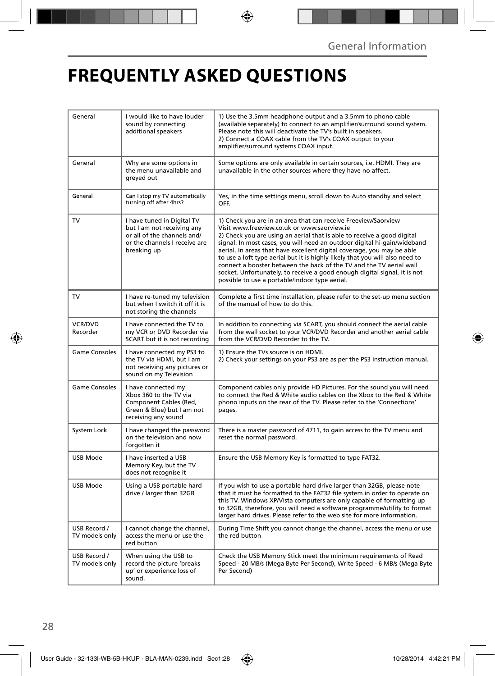## **FREQUENTLY ASKED QUESTIONS**

| General                        | I would like to have louder<br>sound by connecting<br>additional speakers                                                               | 1) Use the 3.5mm headphone output and a 3.5mm to phono cable<br>(available separately) to connect to an amplifier/surround sound system.<br>Please note this will deactivate the TV's built in speakers.<br>2) Connect a COAX cable from the TV's COAX output to your<br>amplifier/surround systems COAX input.                                                                                                                                                                                                                                                                                                                      |
|--------------------------------|-----------------------------------------------------------------------------------------------------------------------------------------|--------------------------------------------------------------------------------------------------------------------------------------------------------------------------------------------------------------------------------------------------------------------------------------------------------------------------------------------------------------------------------------------------------------------------------------------------------------------------------------------------------------------------------------------------------------------------------------------------------------------------------------|
| General                        | Why are some options in<br>the menu unavailable and<br>greyed out                                                                       | Some options are only available in certain sources, i.e. HDMI. They are<br>unavailable in the other sources where they have no affect.                                                                                                                                                                                                                                                                                                                                                                                                                                                                                               |
| General                        | Can I stop my TV automatically<br>turning off after 4hrs?                                                                               | Yes, in the time settings menu, scroll down to Auto standby and select<br>OFF.                                                                                                                                                                                                                                                                                                                                                                                                                                                                                                                                                       |
| TV                             | I have tuned in Digital TV<br>but I am not receiving any<br>or all of the channels and/<br>or the channels I receive are<br>breaking up | 1) Check you are in an area that can receive Freeview/Saorview<br>Visit www.freeview.co.uk or www.saorview.ie<br>2) Check you are using an aerial that is able to receive a good digital<br>signal. In most cases, you will need an outdoor digital hi-gain/wideband<br>aerial. In areas that have excellent digital coverage, you may be able<br>to use a loft type aerial but it is highly likely that you will also need to<br>connect a booster between the back of the TV and the TV aerial wall<br>socket. Unfortunately, to receive a good enough digital signal, it is not<br>possible to use a portable/indoor type aerial. |
| TV                             | I have re-tuned my television<br>but when I switch it off it is<br>not storing the channels                                             | Complete a first time installation, please refer to the set-up menu section<br>of the manual of how to do this.                                                                                                                                                                                                                                                                                                                                                                                                                                                                                                                      |
| <b>VCR/DVD</b><br>Recorder     | I have connected the TV to<br>my VCR or DVD Recorder via<br>SCART but it is not recording                                               | In addition to connecting via SCART, you should connect the aerial cable<br>from the wall socket to your VCR/DVD Recorder and another aerial cable<br>from the VCR/DVD Recorder to the TV.                                                                                                                                                                                                                                                                                                                                                                                                                                           |
| <b>Game Consoles</b>           | I have connected my PS3 to<br>the TV via HDMI, but I am<br>not receiving any pictures or<br>sound on my Television                      | 1) Ensure the TVs source is on HDMI.<br>2) Check your settings on your PS3 are as per the PS3 instruction manual.                                                                                                                                                                                                                                                                                                                                                                                                                                                                                                                    |
| Game Consoles                  | I have connected my<br>Xbox 360 to the TV via<br>Component Cables (Red,<br>Green & Blue) but I am not<br>receiving any sound            | Component cables only provide HD Pictures. For the sound you will need<br>to connect the Red & White audio cables on the Xbox to the Red & White<br>phono inputs on the rear of the TV. Please refer to the 'Connections'<br>pages.                                                                                                                                                                                                                                                                                                                                                                                                  |
| System Lock                    | I have changed the password<br>on the television and now<br>forgotten it                                                                | There is a master password of 4711, to gain access to the TV menu and<br>reset the normal password.                                                                                                                                                                                                                                                                                                                                                                                                                                                                                                                                  |
| USB Mode                       | I have inserted a USB<br>Memory Key, but the TV<br>does not recognise it                                                                | Ensure the USB Memory Key is formatted to type FAT32.                                                                                                                                                                                                                                                                                                                                                                                                                                                                                                                                                                                |
| USB Mode                       | Using a USB portable hard<br>drive / larger than 32GB                                                                                   | If you wish to use a portable hard drive larger than 32GB, please note<br>that it must be formatted to the FAT32 file system in order to operate on<br>this TV. Windows XP/Vista computers are only capable of formatting up<br>to 32GB, therefore, you will need a software programme/utility to format<br>larger hard drives. Please refer to the web site for more information.                                                                                                                                                                                                                                                   |
| USB Record /<br>TV models only | I cannot change the channel,<br>access the menu or use the<br>red button                                                                | During Time Shift you cannot change the channel, access the menu or use<br>the red button                                                                                                                                                                                                                                                                                                                                                                                                                                                                                                                                            |
| USB Record /<br>TV models only | When using the USB to<br>record the picture 'breaks<br>up' or experience loss of<br>sound.                                              | Check the USB Memory Stick meet the minimum requirements of Read<br>Speed - 20 MB/s (Mega Byte Per Second), Write Speed - 6 MB/s (Mega Byte<br>Per Second)                                                                                                                                                                                                                                                                                                                                                                                                                                                                           |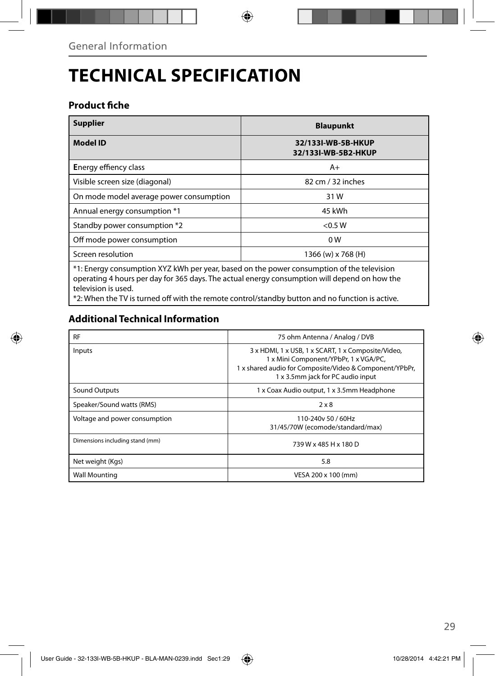## **TECHNICAL SPECIFICATION**

### **Product fiche**

| <b>Supplier</b>                                                                                                                                                                                                  | <b>Blaupunkt</b>                          |  |
|------------------------------------------------------------------------------------------------------------------------------------------------------------------------------------------------------------------|-------------------------------------------|--|
| <b>Model ID</b>                                                                                                                                                                                                  | 32/133I-WB-5B-HKUP<br>32/133I-WB-5B2-HKUP |  |
| <b>Energy effiency class</b>                                                                                                                                                                                     | $A+$                                      |  |
| Visible screen size (diagonal)                                                                                                                                                                                   | 82 cm / 32 inches                         |  |
| On mode model average power consumption                                                                                                                                                                          | 31 W                                      |  |
| Annual energy consumption *1                                                                                                                                                                                     | 45 kWh                                    |  |
| Standby power consumption *2                                                                                                                                                                                     | < 0.5 W                                   |  |
| Off mode power consumption                                                                                                                                                                                       | 0 <sub>W</sub>                            |  |
| Screen resolution                                                                                                                                                                                                | 1366 (w) x 768 (H)                        |  |
| *1: Energy consumption XYZ kWh per year, based on the power consumption of the television<br>operating 4 hours per day for 365 days. The actual energy consumption will depend on how the<br>television is used. |                                           |  |

\*2: When the TV is turned off with the remote control/standby button and no function is active.

### **Additional Technical Information**

| <b>RF</b>                       | 75 ohm Antenna / Analog / DVB                                                                                                                                                               |
|---------------------------------|---------------------------------------------------------------------------------------------------------------------------------------------------------------------------------------------|
| Inputs                          | 3 x HDMI, 1 x USB, 1 x SCART, 1 x Composite/Video,<br>1 x Mini Component/YPbPr, 1 x VGA/PC,<br>1 x shared audio for Composite/Video & Component/YPbPr,<br>1 x 3.5mm jack for PC audio input |
| Sound Outputs                   | 1 x Coax Audio output, 1 x 3.5mm Headphone                                                                                                                                                  |
| Speaker/Sound watts (RMS)       | $2 \times 8$                                                                                                                                                                                |
| Voltage and power consumption   | 110-240y 50 / 60Hz<br>31/45/70W (ecomode/standard/max)                                                                                                                                      |
| Dimensions including stand (mm) | 739 W x 485 H x 180 D                                                                                                                                                                       |
| Net weight (Kgs)                | 5.8                                                                                                                                                                                         |
| <b>Wall Mounting</b>            | VESA 200 x 100 (mm)                                                                                                                                                                         |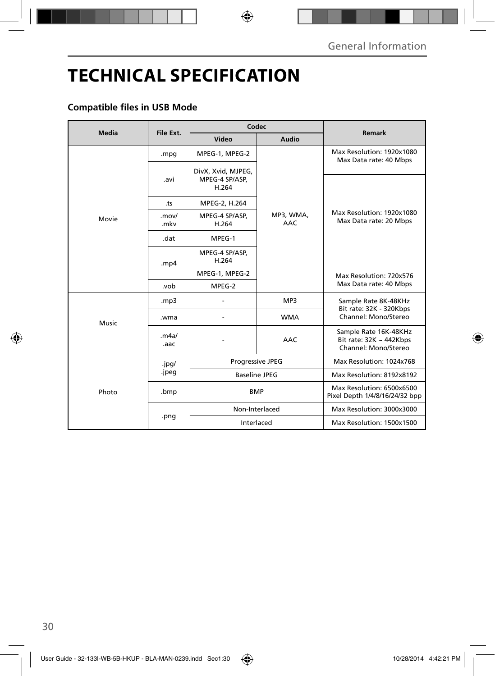## **TECHNICAL SPECIFICATION**

### **Compatible files in USB Mode**

| Media | File Ext.     | Codec                                         |                         | Remark                                                                        |
|-------|---------------|-----------------------------------------------|-------------------------|-------------------------------------------------------------------------------|
|       |               | Video                                         | Audio                   |                                                                               |
|       | .mpg          | MPEG-1, MPEG-2                                | MP3, WMA,<br><b>AAC</b> | Max Resolution: 1920x1080<br>Max Data rate: 40 Mbps                           |
|       | .avi          | DivX, Xvid, MJPEG,<br>MPEG-4 SP/ASP,<br>H.264 |                         |                                                                               |
|       | .ts           | MPEG-2, H.264                                 |                         |                                                                               |
| Movie | .mov/<br>.mkv | MPEG-4 SP/ASP,<br>H.264                       |                         | Max Resolution: 1920x1080<br>Max Data rate: 20 Mbps                           |
|       | .dat          | MPEG-1                                        |                         |                                                                               |
|       | mp4           | MPEG-4 SP/ASP,<br>H.264                       |                         |                                                                               |
|       |               | MPEG-1, MPEG-2                                |                         | Max Resolution: 720x576                                                       |
|       | .vob          | MPEG-2                                        |                         | Max Data rate: 40 Mbps                                                        |
|       | mp3.          |                                               | MP3                     | Sample Rate 8K-48KHz<br>Bit rate: 32K - 320Kbps                               |
| Music | .wma          |                                               | <b>WMA</b>              | Channel: Mono/Stereo                                                          |
|       | .m4a/<br>.aac |                                               | <b>AAC</b>              | Sample Rate 16K-48KHz<br>Bit rate: $32K \sim 442Kbps$<br>Channel: Mono/Stereo |
| Photo | .jpg/         | Progressive JPEG                              |                         | Max Resolution: 1024x768                                                      |
|       | .jpeg         | <b>Baseline JPEG</b>                          |                         | Max Resolution: 8192x8192                                                     |
|       | .bmp          | <b>BMP</b>                                    |                         | Max Resolution: 6500x6500<br>Pixel Depth 1/4/8/16/24/32 bpp                   |
|       | .png          | Non-Interlaced                                |                         | Max Resolution: 3000x3000                                                     |
|       |               | Interlaced                                    |                         | Max Resolution: 1500x1500                                                     |